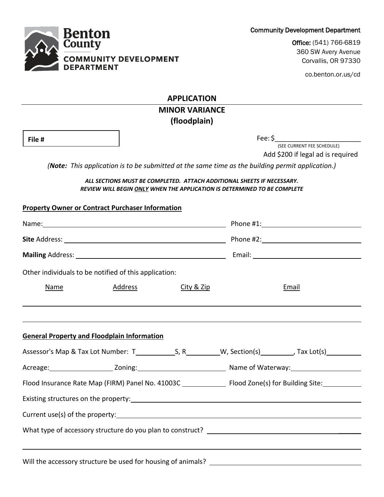Community Development Department

Office: (541) 766-6819 360 SW Avery Avenue Corvallis, OR 97330

co.benton.or.us/cd

**APPLICATION**

# **MINOR VARIANCE (floodplain)**

**File #**

Fee: \$\_\_\_\_\_\_\_\_\_\_\_\_\_\_\_\_\_\_\_\_\_\_\_

(SEE CURRENT FEE SCHEDULE) Add \$200 if legal ad is required

*(Note: This application is to be submitted at the same time as the building permit application.)*

#### *ALL SECTIONS MUST BE COMPLETED. ATTACH ADDITIONAL SHEETS IF NECESSARY. REVIEW WILL BEGIN ONLY WHEN THE APPLICATION IS DETERMINED TO BE COMPLETE*

|  |                                                    |  |                                                                                  |  |                               | Other individuals to be notified of this application: |            |       |
|--|----------------------------------------------------|--|----------------------------------------------------------------------------------|--|-------------------------------|-------------------------------------------------------|------------|-------|
|  |                                                    |  |                                                                                  |  | <u>Address</u><br><b>Name</b> |                                                       | City & Zip | Email |
|  |                                                    |  |                                                                                  |  |                               |                                                       |            |       |
|  | <b>General Property and Floodplain Information</b> |  | ,我们也不会有什么?""我们的人,我们也不会有什么?""我们的人,我们也不会有什么?""我们的人,我们也不会有什么?""我们的人,我们也不会有什么?""我们的人 |  |                               |                                                       |            |       |
|  |                                                    |  |                                                                                  |  |                               |                                                       |            |       |
|  |                                                    |  |                                                                                  |  |                               |                                                       |            |       |
|  |                                                    |  |                                                                                  |  |                               |                                                       |            |       |
|  |                                                    |  |                                                                                  |  |                               |                                                       |            |       |
|  |                                                    |  |                                                                                  |  |                               |                                                       |            |       |
|  |                                                    |  |                                                                                  |  |                               |                                                       |            |       |
|  |                                                    |  |                                                                                  |  |                               |                                                       |            |       |
|  |                                                    |  |                                                                                  |  |                               |                                                       |            |       |



**Property Owner or Contract Purchaser Information**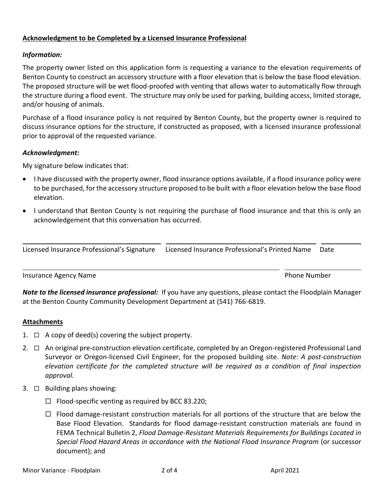## **Acknowledgment to be Completed by a Licensed Insurance Professional**

### *Information:*

The property owner listed on this application form is requesting a variance to the elevation requirements of Benton County to construct an accessory structure with a floor elevation that is below the base flood elevation. The proposed structure will be wet flood-proofed with venting that allows water to automatically flow through the structure during a flood event. The structure may only be used for parking, building access, limited storage, and/or housing of animals.

Purchase of a flood insurance policy is not required by Benton County, but the property owner is required to discuss insurance options for the structure, if constructed as proposed, with a licensed insurance professional prior to approval of the requested variance.

### *Acknowledgment:*

My signature below indicates that:

- I have discussed with the property owner, flood insurance options available, if a flood insurance policy were to be purchased, for the accessory structure proposed to be built with a floor elevation below the base flood elevation.
- I understand that Benton County is not requiring the purchase of flood insurance and that this is only an acknowledgement that this conversation has occurred.

|  | Licensed Insurance Professional's Signature Licensed Insurance Professional's Printed Name Date |  |
|--|-------------------------------------------------------------------------------------------------|--|
|--|-------------------------------------------------------------------------------------------------|--|

**Insurance Agency Name Phone Number** Phone Number

*Note to the licensed insurance professional:* If you have any questions, please contact the Floodplain Manager at the Benton County Community Development Department at (541) 766-6819.

### **Attachments**

- 1.  $\Box$  A copy of deed(s) covering the subject property.
- $2. \Box$  An original pre-construction elevation certificate, completed by an Oregon-registered Professional Land Surveyor or Oregon-licensed Civil Engineer, for the proposed building site. *Note: A post-construction elevation certificate for the completed structure will be required as a condition of final inspection approval.*
- 3.  $\Box$  Building plans showing:
	- $\Box$  Flood-specific venting as required by BCC 83.220;
	- $\Box$  Flood damage-resistant construction materials for all portions of the structure that are below the Base Flood Elevation. Standards for flood damage-resistant construction materials are found in FEMA Technical Bulletin 2, *Flood Damage-Resistant Materials Requirements for Buildings Located in Special Flood Hazard Areas in accordance with the National Flood Insurance Program* (or successor document); and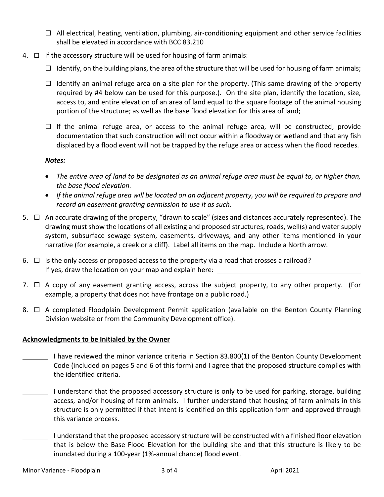- $\Box$  All electrical, heating, ventilation, plumbing, air-conditioning equipment and other service facilities shall be elevated in accordance with BCC 83.210
- 4.  $\Box$  If the accessory structure will be used for housing of farm animals:
	- $\Box$  Identify, on the building plans, the area of the structure that will be used for housing of farm animals;
	- $\Box$  Identify an animal refuge area on a site plan for the property. (This same drawing of the property required by #4 below can be used for this purpose.). On the site plan, identify the location, size, access to, and entire elevation of an area of land equal to the square footage of the animal housing portion of the structure; as well as the base flood elevation for this area of land;
	- $\Box$  If the animal refuge area, or access to the animal refuge area, will be constructed, provide documentation that such construction will not occur within a floodway or wetland and that any fish displaced by a flood event will not be trapped by the refuge area or access when the flood recedes.

## *Notes:*

- *The entire area of land to be designated as an animal refuge area must be equal to, or higher than, the base flood elevation.*
- *If the animal refuge area will be located on an adjacent property, you will be required to prepare and record an easement granting permission to use it as such.*
- 5.  $\Box$  An accurate drawing of the property, "drawn to scale" (sizes and distances accurately represented). The drawing must show the locations of all existing and proposed structures, roads, well(s) and water supply system, subsurface sewage system, easements, driveways, and any other items mentioned in your narrative (for example, a creek or a cliff). Label all items on the map. Include a North arrow.
- 6.  $\Box$  Is the only access or proposed access to the property via a road that crosses a railroad? If yes, draw the location on your map and explain here:
- 7.  $\Box$  A copy of any easement granting access, across the subject property, to any other property. (For example, a property that does not have frontage on a public road.)
- 8.  $\Box$  A completed Floodplain Development Permit application (available on the Benton County Planning Division website or from the Community Development office).

## **Acknowledgments to be Initialed by the Owner**

- I have reviewed the minor variance criteria in Section 83.800(1) of the Benton County Development Code (included on pages 5 and 6 of this form) and I agree that the proposed structure complies with the identified criteria.
- I understand that the proposed accessory structure is only to be used for parking, storage, building access, and/or housing of farm animals. I further understand that housing of farm animals in this structure is only permitted if that intent is identified on this application form and approved through this variance process.
	- I understand that the proposed accessory structure will be constructed with a finished floor elevation that is below the Base Flood Elevation for the building site and that this structure is likely to be inundated during a 100-year (1%-annual chance) flood event.